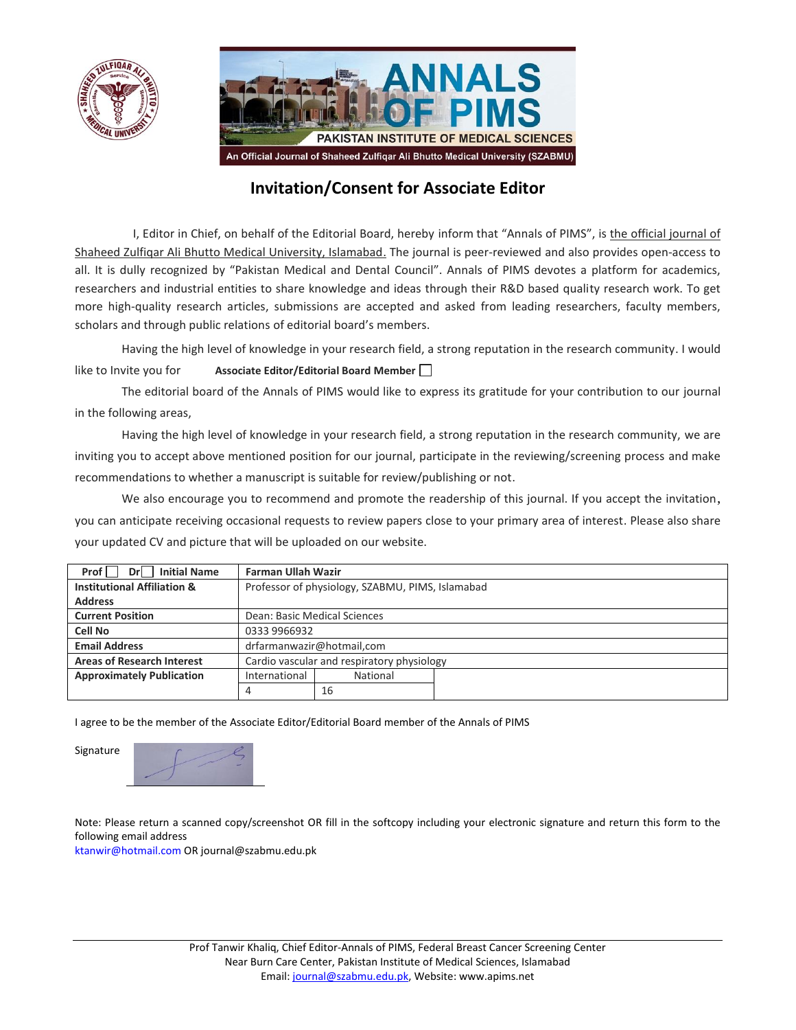



## **Invitation/Consent for Associate Editor**

 I, Editor in Chief, on behalf of the Editorial Board, hereby inform that "Annals of PIMS", is the official journal of Shaheed Zulfiqar Ali Bhutto Medical University, Islamabad. The journal is peer-reviewed and also provides open-access to all. It is dully recognized by "Pakistan Medical and Dental Council". Annals of PIMS devotes a platform for academics, researchers and industrial entities to share knowledge and ideas through their R&D based quality research work. To get more high-quality research articles, submissions are accepted and asked from leading researchers, faculty members, scholars and through public relations of editorial board's members.

Having the high level of knowledge in your research field, a strong reputation in the research community. I would like to Invite you for **Associate Editor/Editorial Board Member**

The editorial board of the Annals of PIMS would like to express its gratitude for your contribution to our journal in the following areas,

Having the high level of knowledge in your research field, a strong reputation in the research community, we are inviting you to accept above mentioned position for our journal, participate in the reviewing/screening process and make recommendations to whether a manuscript is suitable for review/publishing or not.

We also encourage you to recommend and promote the readership of this journal. If you accept the invitation, you can anticipate receiving occasional requests to review papers close to your primary area of interest. Please also share your updated CV and picture that will be uploaded on our website.

| Prof  <br><b>Initial Name</b><br>Drl   | Farman Ullah Wazir                               |          |  |
|----------------------------------------|--------------------------------------------------|----------|--|
| <b>Institutional Affiliation &amp;</b> | Professor of physiology, SZABMU, PIMS, Islamabad |          |  |
| <b>Address</b>                         |                                                  |          |  |
| <b>Current Position</b>                | Dean: Basic Medical Sciences                     |          |  |
| Cell No                                | 0333 9966932                                     |          |  |
| <b>Email Address</b>                   | drfarmanwazir@hotmail.com                        |          |  |
| <b>Areas of Research Interest</b>      | Cardio vascular and respiratory physiology       |          |  |
| <b>Approximately Publication</b>       | International                                    | National |  |
|                                        | 4                                                | 16       |  |

I agree to be the member of the Associate Editor/Editorial Board member of the Annals of PIMS

Signature



Note: Please return a scanned copy/screenshot OR fill in the softcopy including your electronic signature and return this form to the following email address

[ktanwir@hotmail.com](mailto:ktanwir@hotmail.com) OR journal@szabmu.edu.pk